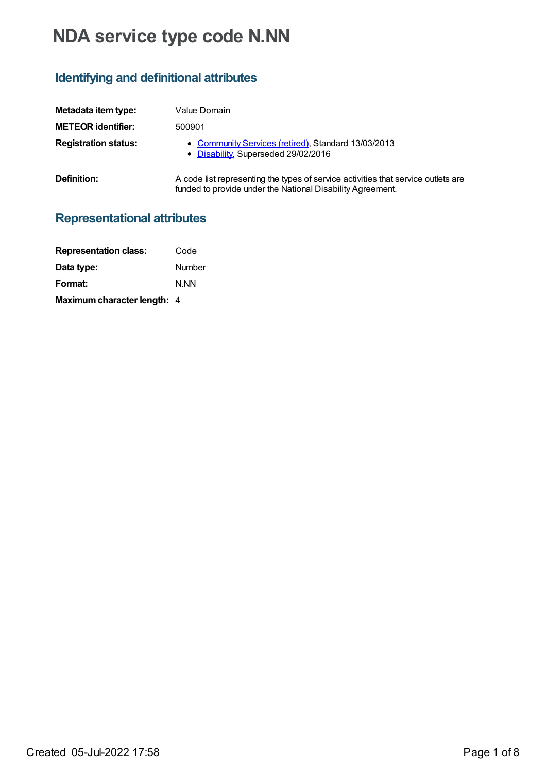# **NDA service type code N.NN**

# **Identifying and definitional attributes**

| Metadata item type:         | Value Domain                                                                                                                                    |
|-----------------------------|-------------------------------------------------------------------------------------------------------------------------------------------------|
| <b>METEOR identifier:</b>   | 500901                                                                                                                                          |
| <b>Registration status:</b> | • Community Services (retired), Standard 13/03/2013<br>• Disability, Superseded 29/02/2016                                                      |
| Definition:                 | A code list representing the types of service activities that service outlets are<br>funded to provide under the National Disability Agreement. |

# **Representational attributes**

| <b>Representation class:</b>       | Code          |
|------------------------------------|---------------|
| Data type:                         | <b>Number</b> |
| Format:                            | N.NN          |
| <b>Maximum character length: 4</b> |               |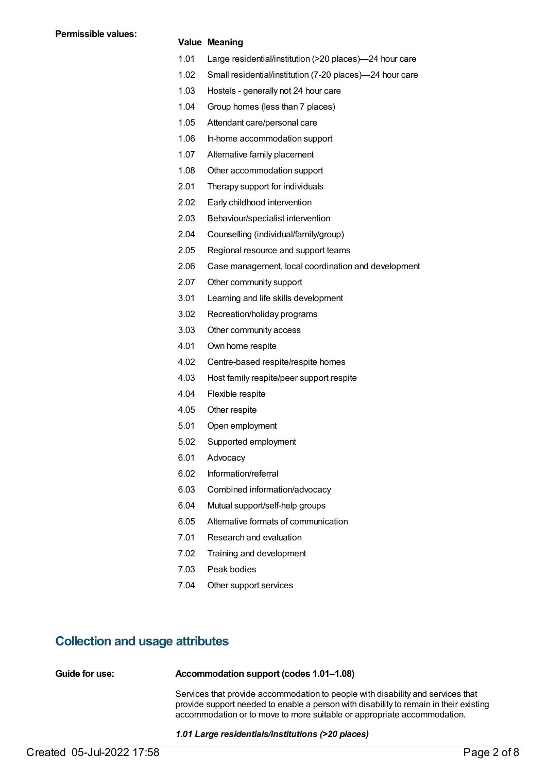#### **Value Meaning**

- 1.01 Large residential/institution (>20 places)—24 hour care
- 1.02 Small residential/institution (7-20 places)—24 hour care
- 1.03 Hostels generally not 24 hour care
- 1.04 Group homes (less than 7 places)
- 1.05 Attendant care/personal care
- 1.06 In-home accommodation support
- 1.07 Alternative family placement
- 1.08 Other accommodation support
- 2.01 Therapy support for individuals
- 2.02 Early childhood intervention
- 2.03 Behaviour/specialist intervention
- 2.04 Counselling (individual/family/group)
- 2.05 Regional resource and support teams
- 2.06 Case management, local coordination and development
- 2.07 Other community support
- 3.01 Learning and life skills development
- 3.02 Recreation/holiday programs
- 3.03 Other community access
- 4.01 Own home respite
- 4.02 Centre-based respite/respite homes
- 4.03 Host family respite/peer support respite
- 4.04 Flexible respite
- 4.05 Other respite
- 5.01 Open employment
- 5.02 Supported employment
- 6.01 Advocacy
- 6.02 Information/referral
- 6.03 Combined information/advocacy
- 6.04 Mutual support/self-help groups
- 6.05 Alternative formats of communication
- 7.01 Research and evaluation
- 7.02 Training and development
- 7.03 Peak bodies
- 7.04 Other support services

### **Collection and usage attributes**

| Guide for use: | Accommodation support (codes 1.01-1.08) |
|----------------|-----------------------------------------|
|----------------|-----------------------------------------|

Services that provide accommodation to people with disability and services that provide support needed to enable a person with disability to remain in their existing accommodation or to move to more suitable or appropriate accommodation.

*1.01 Large residentials/institutions (>20 places)*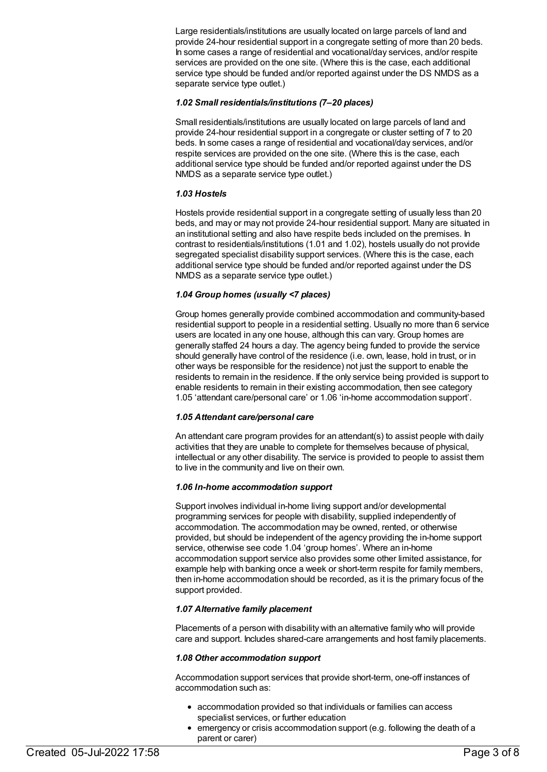Large residentials/institutions are usually located on large parcels of land and provide 24-hour residential support in a congregate setting of more than 20 beds. In some cases a range of residential and vocational/day services, and/or respite services are provided on the one site. (Where this is the case, each additional service type should be funded and/or reported against under the DS NMDS as a separate service type outlet.)

#### *1.02 Small residentials/institutions (7–20 places)*

Small residentials/institutions are usually located on large parcels of land and provide 24-hour residential support in a congregate or cluster setting of 7 to 20 beds. In some cases a range of residential and vocational/day services, and/or respite services are provided on the one site. (Where this is the case, each additional service type should be funded and/or reported against under the DS NMDS as a separate service type outlet.)

#### *1.03 Hostels*

Hostels provide residential support in a congregate setting of usually less than 20 beds, and may or may not provide 24-hour residential support. Many are situated in an institutional setting and also have respite beds included on the premises. In contrast to residentials/institutions (1.01 and 1.02), hostels usually do not provide segregated specialist disability support services. (Where this is the case, each additional service type should be funded and/or reported against under the DS NMDS as a separate service type outlet.)

#### *1.04 Group homes (usually <7 places)*

Group homes generally provide combined accommodation and community-based residential support to people in a residential setting. Usually no more than 6 service users are located in any one house, although this can vary. Group homes are generally staffed 24 hours a day. The agency being funded to provide the service should generally have control of the residence (i.e. own, lease, hold in trust, or in other ways be responsible for the residence) not just the support to enable the residents to remain in the residence. If the only service being provided is support to enable residents to remain in their existing accommodation, then see category 1.05 'attendant care/personal care' or 1.06 'in-home accommodation support'.

#### *1.05 Attendant care/personal care*

An attendant care program provides for an attendant(s) to assist people with daily activities that they are unable to complete for themselves because of physical, intellectual or any other disability. The service is provided to people to assist them to live in the community and live on their own.

#### *1.06 In-home accommodation support*

Support involves individual in-home living support and/or developmental programming services for people with disability, supplied independently of accommodation. The accommodation may be owned, rented, or otherwise provided, but should be independent of the agency providing the in-home support service, otherwise see code 1.04 'group homes'. Where an in-home accommodation support service also provides some other limited assistance, for example help with banking once a week or short-term respite for family members, then in-home accommodation should be recorded, as it is the primary focus of the support provided.

#### *1.07 Alternative family placement*

Placements of a person with disability with an alternative family who will provide care and support. Includes shared-care arrangements and host family placements.

#### *1.08 Other accommodation support*

Accommodation support services that provide short-term, one-off instances of accommodation such as:

- accommodation provided so that individuals or families can access specialist services, or further education
- emergency or crisis accommodation support (e.g. following the death of a parent or carer)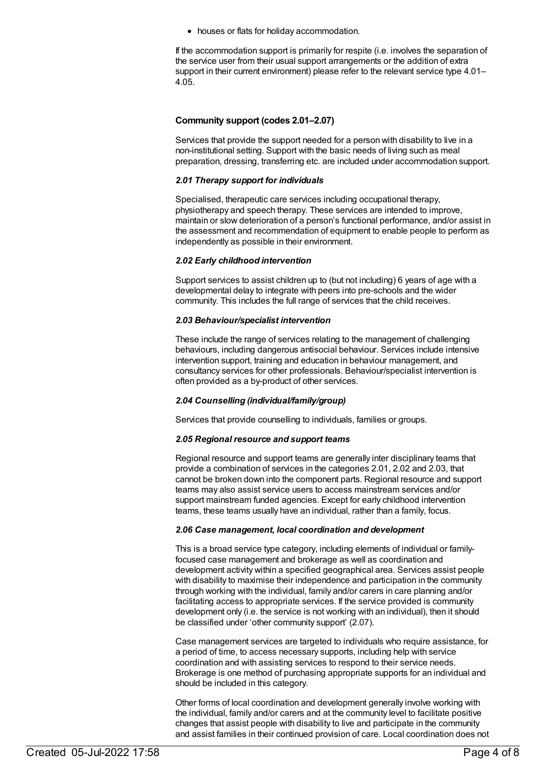houses or flats for holiday accommodation.

If the accommodation support is primarily for respite (i.e. involves the separation of the service user from their usual support arrangements or the addition of extra support in their current environment) please refer to the relevant service type 4.01– 4.05.

#### **Community support (codes 2.01–2.07)**

Services that provide the support needed for a person with disability to live in a non-institutional setting. Support with the basic needs of living such as meal preparation, dressing, transferring etc. are included under accommodation support.

#### *2.01 Therapy support for individuals*

Specialised, therapeutic care services including occupational therapy, physiotherapy and speech therapy. These services are intended to improve, maintain or slow deterioration of a person's functional performance, and/or assist in the assessment and recommendation of equipment to enable people to perform as independently as possible in their environment.

#### *2.02 Early childhood intervention*

Support services to assist children up to (but not including) 6 years of age with a developmental delay to integrate with peers into pre-schools and the wider community. This includes the full range of services that the child receives.

#### *2.03 Behaviour/specialist intervention*

These include the range of services relating to the management of challenging behaviours, including dangerous antisocial behaviour. Services include intensive intervention support, training and education in behaviour management, and consultancy services for other professionals. Behaviour/specialist intervention is often provided as a by-product of other services.

#### *2.04 Counselling (individual/family/group)*

Services that provide counselling to individuals, families or groups.

#### *2.05 Regional resource and support teams*

Regional resource and support teams are generally inter disciplinary teams that provide a combination of services in the categories 2.01, 2.02 and 2.03, that cannot be broken down into the component parts. Regional resource and support teams may also assist service users to access mainstream services and/or support mainstream funded agencies. Except for early childhood intervention teams, these teams usually have an individual, rather than a family, focus.

#### *2.06 Case management, local coordination and development*

This is a broad service type category, including elements of individual or familyfocused case management and brokerage as well as coordination and development activity within a specified geographical area. Services assist people with disability to maximise their independence and participation in the community through working with the individual, family and/or carers in care planning and/or facilitating access to appropriate services. If the service provided is community development only (i.e. the service is not working with an individual), then it should be classified under 'other community support' (2.07).

Case management services are targeted to individuals who require assistance, for a period of time, to access necessary supports, including help with service coordination and with assisting services to respond to their service needs. Brokerage is one method of purchasing appropriate supports for an individual and should be included in this category.

Other forms of local coordination and development generally involve working with the individual, family and/or carers and at the community level to facilitate positive changes that assist people with disability to live and participate in the community and assist families in their continued provision of care. Local coordination does not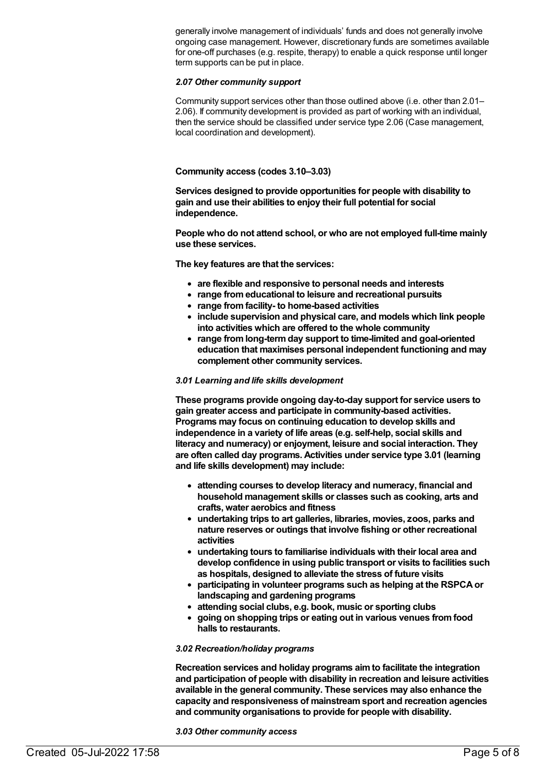generally involve management of individuals' funds and does not generally involve ongoing case management. However, discretionary funds are sometimes available for one-off purchases (e.g. respite, therapy) to enable a quick response until longer term supports can be put in place.

#### *2.07 Other community support*

Community support services other than those outlined above (i.e. other than 2.01– 2.06). If community development is provided as part of working with an individual, then the service should be classified under service type 2.06 (Case management, local coordination and development).

#### **Community access (codes 3.10–3.03)**

**Services designed to provide opportunities for people with disability to gain and use their abilities to enjoy their full potential for social independence.**

**People who do not attend school, or who are not employed full-time mainly use these services.**

**The key features are that the services:**

- **are flexible and responsive to personal needs and interests**
- **range fromeducational to leisure and recreational pursuits**
- **range fromfacility- to home-based activities**
- **include supervision and physical care, and models which link people into activities which are offered to the whole community**
- **range fromlong-termday support to time-limited and goal-oriented education that maximises personal independent functioning and may complement other community services.**

#### *3.01 Learning and life skills development*

**These programs provide ongoing day-to-day support for service users to gain greater access and participate in community-based activities. Programs may focus on continuing education to develop skills and independence in a variety of life areas (e.g. self-help, social skills and literacy and numeracy) or enjoyment, leisure and social interaction. They are often called day programs. Activities under service type 3.01 (learning and life skills development) may include:**

- **attending courses to develop literacy and numeracy, financial and household management skills or classes such as cooking, arts and crafts, water aerobics and fitness**
- **undertaking trips to art galleries, libraries, movies, zoos, parks and nature reserves or outings that involve fishing or other recreational activities**
- **undertaking tours to familiarise individuals with their local area and develop confidence in using public transport or visits to facilities such as hospitals, designed to alleviate the stress of future visits**
- **participating in volunteer programs such as helping at the RSPCAor landscaping and gardening programs**
- **attending social clubs, e.g. book, music or sporting clubs**
- **going on shopping trips or eating out in various venues fromfood halls to restaurants.**

#### *3.02 Recreation/holiday programs*

**Recreation services and holiday programs aimto facilitate the integration and participation of people with disability in recreation and leisure activities available in the general community. These services may also enhance the capacity and responsiveness of mainstreamsport and recreation agencies and community organisations to provide for people with disability.**

*3.03 Other community access*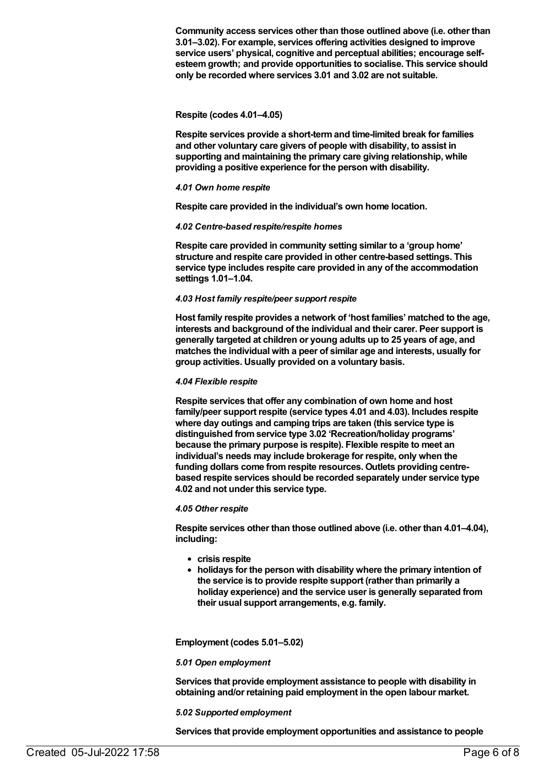**Community access services other than those outlined above (i.e. other than 3.01–3.02). For example, services offering activities designed to improve service users' physical, cognitive and perceptual abilities; encourage selfesteemgrowth; and provide opportunities to socialise. This service should only be recorded where services 3.01 and 3.02 are not suitable.**

#### **Respite (codes 4.01–4.05)**

**Respite services provide a short-termand time-limited break for families and other voluntary care givers of people with disability, to assist in supporting and maintaining the primary care giving relationship, while providing a positive experience for the person with disability.**

#### *4.01 Own home respite*

**Respite care provided in the individual's own home location.**

#### *4.02 Centre-based respite/respite homes*

**Respite care provided in community setting similar to a 'group home' structure and respite care provided in other centre-based settings. This service type includes respite care provided in any of the accommodation settings 1.01–1.04.**

#### *4.03 Host family respite/peer support respite*

**Host family respite provides a network of 'host families' matched to the age, interests and background of the individual and their carer. Peer support is generally targeted at children or young adults up to 25 years of age, and matches the individual with a peer of similar age and interests, usually for group activities. Usually provided on a voluntary basis.**

#### *4.04 Flexible respite*

**Respite services that offer any combination of own home and host family/peer support respite (service types 4.01 and 4.03). Includes respite where day outings and camping trips are taken (this service type is distinguished fromservice type 3.02 'Recreation/holiday programs' because the primary purpose is respite). Flexible respite to meet an individual's needs may include brokerage for respite, only when the funding dollars come fromrespite resources. Outlets providing centrebased respite services should be recorded separately under service type 4.02 and not under this service type.**

#### *4.05 Other respite*

**Respite services other than those outlined above (i.e. other than 4.01–4.04), including:**

- **crisis respite**
- **holidays for the person with disability where the primary intention of the service is to provide respite support (rather than primarily a holiday experience) and the service user is generally separated from their usual support arrangements, e.g. family.**

**Employment (codes 5.01–5.02)**

#### *5.01 Open employment*

**Services that provide employment assistance to people with disability in obtaining and/or retaining paid employment in the open labour market.**

#### *5.02 Supported employment*

**Services that provide employment opportunities and assistance to people**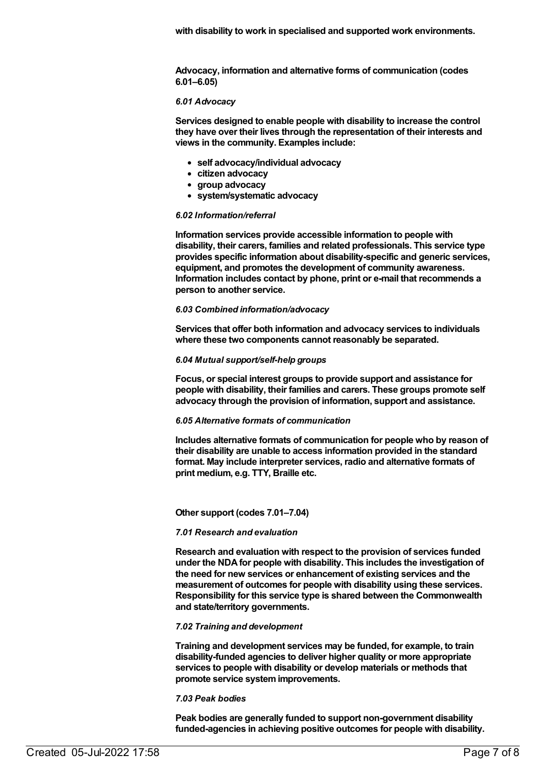**Advocacy, information and alternative forms of communication (codes 6.01–6.05)**

#### *6.01 Advocacy*

**Services designed to enable people with disability to increase the control they have over their lives through the representation of their interests and views in the community. Examples include:**

- **self advocacy/individual advocacy**
- **citizen advocacy**
- **group advocacy**
- **system/systematic advocacy**

#### *6.02 Information/referral*

**Information services provide accessible information to people with disability, their carers, families and related professionals. This service type provides specific information about disability-specific and generic services, equipment, and promotes the development of community awareness. Information includes contact by phone, print or e-mail that recommends a person to another service.**

#### *6.03 Combined information/advocacy*

**Services that offer both information and advocacy services to individuals where these two components cannot reasonably be separated.**

#### *6.04 Mutual support/self-help groups*

**Focus, or special interest groups to provide support and assistance for people with disability, their families and carers. These groups promote self advocacy through the provision of information, support and assistance.**

#### *6.05 Alternative formats of communication*

**Includes alternative formats of communication for people who by reason of their disability are unable to access information provided in the standard format. May include interpreter services, radio and alternative formats of print medium, e.g. TTY, Braille etc.**

#### **Other support (codes 7.01–7.04)**

#### *7.01 Research and evaluation*

**Research and evaluation with respect to the provision of services funded under the NDAfor people with disability. This includes the investigation of the need for new services or enhancement of existing services and the measurement of outcomes for people with disability using these services. Responsibility for this service type is shared between the Commonwealth and state/territory governments.**

#### *7.02 Training and development*

**Training and development services may be funded, for example, to train disability-funded agencies to deliver higher quality or more appropriate services to people with disability or develop materials or methods that promote service systemimprovements.**

#### *7.03 Peak bodies*

**Peak bodies are generally funded to support non-government disability funded-agencies in achieving positive outcomes for people with disability.**